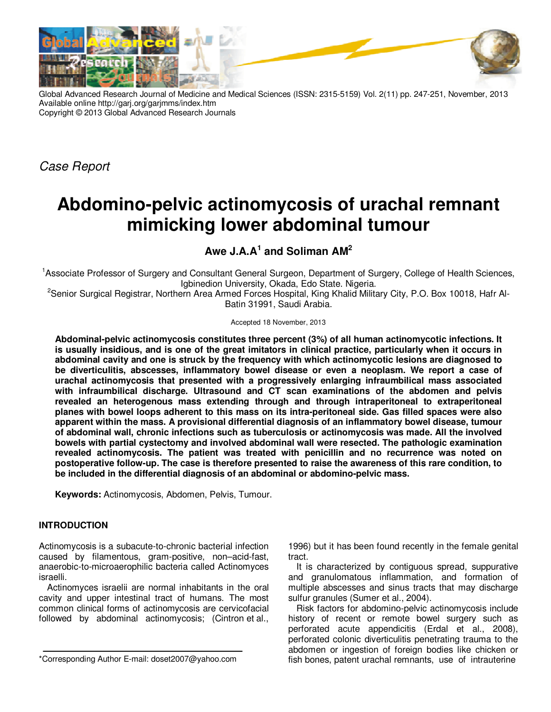

Global Advanced Research Journal of Medicine and Medical Sciences (ISSN: 2315-5159) Vol. 2(11) pp. 247-251, November, 2013 Available online http://garj.org/garjmms/index.htm Copyright © 2013 Global Advanced Research Journals

Case Report

# **Abdomino-pelvic actinomycosis of urachal remnant mimicking lower abdominal tumour**

## **Awe J.A.A<sup>1</sup> and Soliman AM<sup>2</sup>**

<sup>1</sup>Associate Professor of Surgery and Consultant General Surgeon, Department of Surgery, College of Health Sciences, Igbinedion University, Okada, Edo State. Nigeria.

<sup>2</sup>Senior Surgical Registrar, Northern Area Armed Forces Hospital, King Khalid Military City, P.O. Box 10018, Hafr Al-Batin 31991, Saudi Arabia.

Accepted 18 November, 2013

**Abdominal-pelvic actinomycosis constitutes three percent (3%) of all human actinomycotic infections. It is usually insidious, and is one of the great imitators in clinical practice, particularly when it occurs in abdominal cavity and one is struck by the frequency with which actinomycotic lesions are diagnosed to be diverticulitis, abscesses, inflammatory bowel disease or even a neoplasm. We report a case of urachal actinomycosis that presented with a progressively enlarging infraumbilical mass associated with infraumbilical discharge. Ultrasound and CT scan examinations of the abdomen and pelvis revealed an heterogenous mass extending through and through intraperitoneal to extraperitoneal planes with bowel loops adherent to this mass on its intra-peritoneal side. Gas filled spaces were also apparent within the mass. A provisional differential diagnosis of an inflammatory bowel disease, tumour of abdominal wall, chronic infections such as tuberculosis or actinomycosis was made. All the involved bowels with partial cystectomy and involved abdominal wall were resected. The pathologic examination revealed actinomycosis. The patient was treated with penicillin and no recurrence was noted on postoperative follow-up. The case is therefore presented to raise the awareness of this rare condition, to be included in the differential diagnosis of an abdominal or abdomino-pelvic mass.** 

**Keywords:** Actinomycosis, Abdomen, Pelvis, Tumour.

### **INTRODUCTION**

Actinomycosis is a subacute-to-chronic bacterial infection caused by filamentous, gram-positive, non–acid-fast, anaerobic-to-microaerophilic bacteria called Actinomyces israelli.

Actinomyces israelii are normal inhabitants in the oral cavity and upper intestinal tract of humans. The most common clinical forms of actinomycosis are cervicofacial followed by abdominal actinomycosis; (Cintron et al.,

1996) but it has been found recently in the female genital tract.

It is characterized by contiguous spread, suppurative and granulomatous inflammation, and formation of multiple abscesses and sinus tracts that may discharge sulfur granules (Sumer et al., 2004).

Risk factors for abdomino-pelvic actinomycosis include history of recent or remote bowel surgery such as perforated acute appendicitis (Erdal et al., 2008), perforated colonic diverticulitis penetrating trauma to the abdomen or ingestion of foreign bodies like chicken or fish bones, patent urachal remnants, use of intrauterine

<sup>\*</sup>Corresponding Author E-mail: doset2007@yahoo.com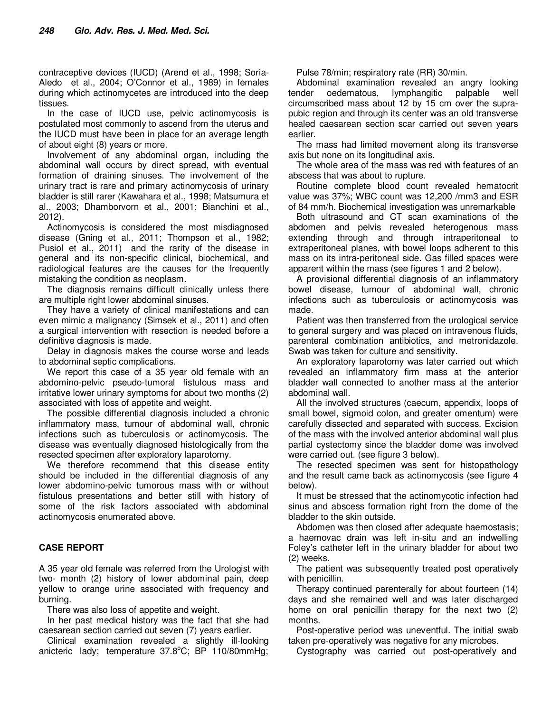contraceptive devices (IUCD) (Arend et al., 1998; Soria-Aledo et al., 2004; O'Connor et al., 1989) in females during which actinomycetes are introduced into the deep tissues.

In the case of IUCD use, pelvic actinomycosis is postulated most commonly to ascend from the uterus and the IUCD must have been in place for an average length of about eight (8) years or more.

Involvement of any abdominal organ, including the abdominal wall occurs by direct spread, with eventual formation of draining sinuses. The involvement of the urinary tract is rare and primary actinomycosis of urinary bladder is still rarer (Kawahara et al., 1998; Matsumura et al., 2003; Dhamborvorn et al., 2001; Bianchini et al., 2012).

Actinomycosis is considered the most misdiagnosed disease (Gning et al., 2011; Thompson et al., 1982; Pusiol et al., 2011) and the rarity of the disease in general and its non-specific clinical, biochemical, and radiological features are the causes for the frequently mistaking the condition as neoplasm.

The diagnosis remains difficult clinically unless there are multiple right lower abdominal sinuses.

They have a variety of clinical manifestations and can even mimic a malignancy (Simsek et al., 2011) and often a surgical intervention with resection is needed before a definitive diagnosis is made.

Delay in diagnosis makes the course worse and leads to abdominal septic complications.

We report this case of a 35 year old female with an abdomino-pelvic pseudo-tumoral fistulous mass and irritative lower urinary symptoms for about two months (2) associated with loss of appetite and weight.

The possible differential diagnosis included a chronic inflammatory mass, tumour of abdominal wall, chronic infections such as tuberculosis or actinomycosis. The disease was eventually diagnosed histologically from the resected specimen after exploratory laparotomy.

We therefore recommend that this disease entity should be included in the differential diagnosis of any lower abdomino-pelvic tumorous mass with or without fistulous presentations and better still with history of some of the risk factors associated with abdominal actinomycosis enumerated above.

### **CASE REPORT**

A 35 year old female was referred from the Urologist with two- month (2) history of lower abdominal pain, deep yellow to orange urine associated with frequency and burning.

There was also loss of appetite and weight.

In her past medical history was the fact that she had caesarean section carried out seven (7) years earlier.

Clinical examination revealed a slightly ill-looking anicteric lady; temperature  $37.8^{\circ}$ C; BP 110/80mmHg; Pulse 78/min; respiratory rate (RR) 30/min.

Abdominal examination revealed an angry looking tender oedematous, lymphangitic palpable well circumscribed mass about 12 by 15 cm over the suprapubic region and through its center was an old transverse healed caesarean section scar carried out seven years earlier.

The mass had limited movement along its transverse axis but none on its longitudinal axis.

The whole area of the mass was red with features of an abscess that was about to rupture.

Routine complete blood count revealed hematocrit value was 37%; WBC count was 12,200 /mm3 and ESR of 84 mm/h. Biochemical investigation was unremarkable

Both ultrasound and CT scan examinations of the abdomen and pelvis revealed heterogenous mass extending through and through intraperitoneal to extraperitoneal planes, with bowel loops adherent to this mass on its intra-peritoneal side. Gas filled spaces were apparent within the mass (see figures 1 and 2 below).

A provisional differential diagnosis of an inflammatory bowel disease, tumour of abdominal wall, chronic infections such as tuberculosis or actinomycosis was made.

Patient was then transferred from the urological service to general surgery and was placed on intravenous fluids, parenteral combination antibiotics, and metronidazole. Swab was taken for culture and sensitivity.

An exploratory laparotomy was later carried out which revealed an inflammatory firm mass at the anterior bladder wall connected to another mass at the anterior abdominal wall.

All the involved structures (caecum, appendix, loops of small bowel, sigmoid colon, and greater omentum) were carefully dissected and separated with success. Excision of the mass with the involved anterior abdominal wall plus partial cystectomy since the bladder dome was involved were carried out. (see figure 3 below).

The resected specimen was sent for histopathology and the result came back as actinomycosis (see figure 4 below).

It must be stressed that the actinomycotic infection had sinus and abscess formation right from the dome of the bladder to the skin outside.

Abdomen was then closed after adequate haemostasis; a haemovac drain was left in-situ and an indwelling Foley's catheter left in the urinary bladder for about two (2) weeks.

The patient was subsequently treated post operatively with penicillin.

Therapy continued parenterally for about fourteen (14) days and she remained well and was later discharged home on oral penicillin therapy for the next two (2) months.

Post-operative period was uneventful. The initial swab taken pre-operatively was negative for any microbes.

Cystography was carried out post-operatively and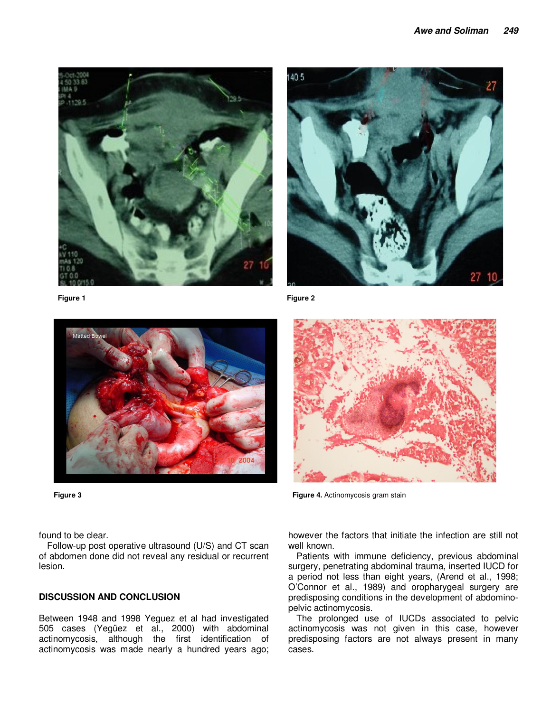

**Figure 1** Figure 2





**Figure 3 Figure 4.** Actinomycosis gram stain

found to be clear.

Follow-up post operative ultrasound (U/S) and CT scan of abdomen done did not reveal any residual or recurrent lesion.

#### **DISCUSSION AND CONCLUSION**

Between 1948 and 1998 Yeguez et al had investigated 505 cases (Yegüez et al., 2000) with abdominal actinomycosis, although the first identification of actinomycosis was made nearly a hundred years ago; however the factors that initiate the infection are still not well known.

Patients with immune deficiency, previous abdominal surgery, penetrating abdominal trauma, inserted IUCD for a period not less than eight years, (Arend et al., 1998; O'Connor et al., 1989) and oropharygeal surgery are predisposing conditions in the development of abdominopelvic actinomycosis.

The prolonged use of IUCDs associated to pelvic actinomycosis was not given in this case, however predisposing factors are not always present in many cases.

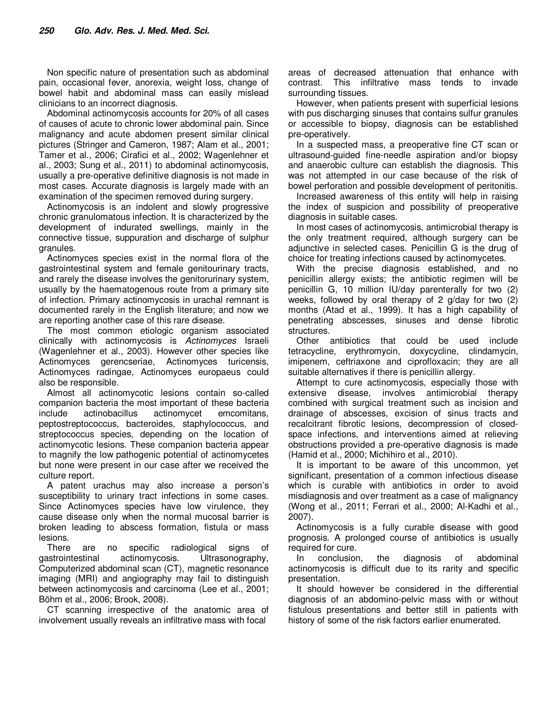Non specific nature of presentation such as abdominal pain, occasional fever, anorexia, weight loss, change of bowel habit and abdominal mass can easily mislead clinicians to an incorrect diagnosis.

Abdominal actinomycosis accounts for 20% of all cases of causes of acute to chronic lower abdominal pain. Since malignancy and acute abdomen present similar clinical pictures (Stringer and Cameron, 1987; Alam et al., 2001; Tamer et al., 2006; Cirafici et al., 2002; Wagenlehner et al., 2003; Sung et al., 2011) to abdominal actinomycosis, usually a pre-operative definitive diagnosis is not made in most cases. Accurate diagnosis is largely made with an examination of the specimen removed during surgery.

Actinomycosis is an indolent and slowly progressive chronic granulomatous infection. It is characterized by the development of indurated swellings, mainly in the connective tissue, suppuration and discharge of sulphur granules.

Actinomyces species exist in the normal flora of the gastrointestinal system and female genitourinary tracts, and rarely the disease involves the genitorurinary system, usually by the haematogenous route from a primary site of infection. Primary actinomycosis in urachal remnant is documented rarely in the English literature; and now we are reporting another case of this rare disease.

The most common etiologic organism associated clinically with actinomycosis is Actinomyces Israeli (Wagenlehner et al., 2003). However other species like Actinomyces gerencseriae, Actinomyces turicensis, Actinomyces radingae, Actinomyces europaeus could also be responsible.

Almost all actinomycotic lesions contain so-called companion bacteria the most important of these bacteria include actinobacillus actinomycet emcomitans, peptostreptococcus, bacteroides, staphylococcus, and streptococcus species, depending on the location of actinomycotic lesions. These companion bacteria appear to magnify the low pathogenic potential of actinomycetes but none were present in our case after we received the culture report.

A patent urachus may also increase a person's susceptibility to urinary tract infections in some cases. Since Actinomyces species have low virulence, they cause disease only when the normal mucosal barrier is broken leading to abscess formation, fistula or mass lesions.

There are no specific radiological signs of gastrointestinal actinomycosis. Ultrasonography, Computerized abdominal scan (CT), magnetic resonance imaging (MRI) and angiography may fail to distinguish between actinomycosis and carcinoma (Lee et al., 2001; Böhm et al., 2006; Brook, 2008).

CT scanning irrespective of the anatomic area of involvement usually reveals an infiltrative mass with focal

areas of decreased attenuation that enhance with contrast. This infiltrative mass tends to invade surrounding tissues.

However, when patients present with superficial lesions with pus discharging sinuses that contains sulfur granules or accessible to biopsy, diagnosis can be established pre-operatively.

In a suspected mass, a preoperative fine CT scan or ultrasound-guided fine-needle aspiration and/or biopsy and anaerobic culture can establish the diagnosis. This was not attempted in our case because of the risk of bowel perforation and possible development of peritonitis.

Increased awareness of this entity will help in raising the index of suspicion and possibility of preoperative diagnosis in suitable cases.

In most cases of actinomycosis, antimicrobial therapy is the only treatment required, although surgery can be adjunctive in selected cases. Penicillin G is the drug of choice for treating infections caused by actinomycetes.

With the precise diagnosis established, and no penicillin allergy exists; the antibiotic regimen will be penicillin G, 10 million IU/day parenterally for two (2) weeks, followed by oral therapy of 2 g/day for two (2) months (Atad et al., 1999). It has a high capability of penetrating abscesses, sinuses and dense fibrotic structures.

Other antibiotics that could be used include tetracycline, erythromycin, doxycycline, clindamycin, imipenem, ceftriaxone and ciprofloxacin; they are all suitable alternatives if there is penicillin allergy.

Attempt to cure actinomycosis, especially those with extensive disease, involves antimicrobial therapy combined with surgical treatment such as incision and drainage of abscesses, excision of sinus tracts and recalcitrant fibrotic lesions, decompression of closedspace infections, and interventions aimed at relieving obstructions provided a pre-operative diagnosis is made (Hamid et al., 2000; Michihiro et al., 2010).

It is important to be aware of this uncommon, yet significant, presentation of a common infectious disease which is curable with antibiotics in order to avoid misdiagnosis and over treatment as a case of malignancy (Wong et al., 2011; Ferrari et al., 2000; Al-Kadhi et al., 2007).

Actinomycosis is a fully curable disease with good prognosis. A prolonged course of antibiotics is usually required for cure.

In conclusion, the diagnosis of abdominal actinomycosis is difficult due to its rarity and specific presentation.

It should however be considered in the differential diagnosis of an abdomino-pelvic mass with or without fistulous presentations and better still in patients with history of some of the risk factors earlier enumerated.